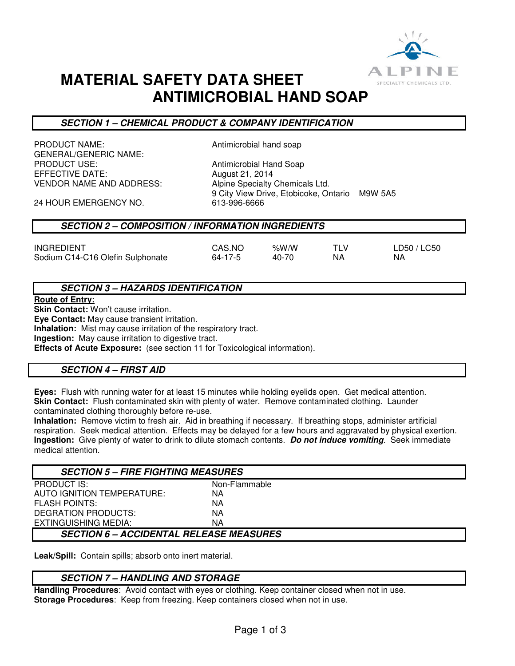

# **MATERIAL SAFETY DATA SHEET ANTIMICROBIAL HAND SOAP**

## **SECTION 1 – CHEMICAL PRODUCT & COMPANY IDENTIFICATION**

PRODUCT NAME: Antimicrobial hand soap GENERAL/GENERIC NAME: PRODUCT USE:<br>
FFFFCTIVE DATE: The Solution of August 21, 2014 VENDOR NAME AND ADDRESS: Alpine Specialty Chemicals Ltd.

**August 21, 2014** 9 City View Drive, Etobicoke, Ontario M9W 5A5<br>613-996-6666

24 HOUR EMERGENCY NO.

### **SECTION 2 – COMPOSITION / INFORMATION INGREDIENTS**

| <b>INGREDIENT</b>                | CAS.NO  | % $W/W$ | TI V | LD50 / LC50 |
|----------------------------------|---------|---------|------|-------------|
| Sodium C14-C16 Olefin Sulphonate | 64-17-5 | 40-70   | ΝA   | NA.         |

## **SECTION 3 – HAZARDS IDENTIFICATION**

**Route of Entry:** 

**Skin Contact:** Won't cause irritation.

**Eye Contact:** May cause transient irritation.

**Inhalation:** Mist may cause irritation of the respiratory tract.

**Ingestion:** May cause irritation to digestive tract.

**Effects of Acute Exposure:** (see section 11 for Toxicological information).

## **SECTION 4 – FIRST AID**

**Eyes:** Flush with running water for at least 15 minutes while holding eyelids open. Get medical attention. **Skin Contact:** Flush contaminated skin with plenty of water. Remove contaminated clothing. Launder contaminated clothing thoroughly before re-use.

**Inhalation:** Remove victim to fresh air. Aid in breathing if necessary. If breathing stops, administer artificial respiration. Seek medical attention. Effects may be delayed for a few hours and aggravated by physical exertion. **Ingestion:** Give plenty of water to drink to dilute stomach contents. **Do not induce vomiting**. Seek immediate medical attention.

| <b>SECTION 5 – FIRE FIGHTING MEASURES</b>      |               |  |
|------------------------------------------------|---------------|--|
| <b>PRODUCT IS:</b>                             | Non-Flammable |  |
| AUTO IGNITION TEMPERATURE:                     | ΝA            |  |
| <b>FLASH POINTS:</b>                           | ΝA            |  |
| DEGRATION PRODUCTS:                            | ΝA            |  |
| EXTINGUISHING MEDIA:                           | ΝA            |  |
| <b>SECTION 6 – ACCIDENTAL RELEASE MEASURES</b> |               |  |

**Leak/Spill:** Contain spills; absorb onto inert material.

### **SECTION 7 – HANDLING AND STORAGE**

**Handling Procedures**: Avoid contact with eyes or clothing. Keep container closed when not in use. **Storage Procedures**: Keep from freezing. Keep containers closed when not in use.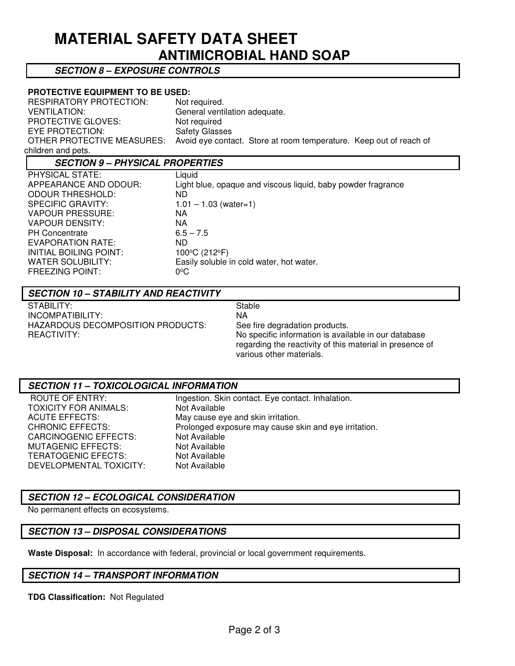# **MATERIAL SAFETY DATA SHEET ANTIMICROBIAL HAND SOAP**

### **SECTION 8 – EXPOSURE CONTROLS**

### **PROTECTIVE EQUIPMENT TO BE USED:**

| <b>RESPIRATORY PROTECTION:</b> | Not required.                                                      |
|--------------------------------|--------------------------------------------------------------------|
| VENTILATION:                   | General ventilation adequate.                                      |
| <b>PROTECTIVE GLOVES:</b>      | Not required                                                       |
| EYE PROTECTION:                | <b>Safety Glasses</b>                                              |
| OTHER PROTECTIVE MEASURES:     | Avoid eye contact. Store at room temperature. Keep out of reach of |
| children and pets.             |                                                                    |

# **SECTION 9 – PHYSICAL PROPERTIES**

| PHYSICAL STATE:          | Liquid                                                       |
|--------------------------|--------------------------------------------------------------|
| APPEARANCE AND ODOUR:    | Light blue, opaque and viscous liquid, baby powder fragrance |
| <b>ODOUR THRESHOLD:</b>  | ND                                                           |
| <b>SPECIFIC GRAVITY:</b> | $1.01 - 1.03$ (water=1)                                      |
| <b>VAPOUR PRESSURE:</b>  | ΝA                                                           |
| <b>VAPOUR DENSITY:</b>   | ΝA                                                           |
| <b>PH Concentrate</b>    | $6.5 - 7.5$                                                  |
| EVAPORATION RATE:        | ND.                                                          |
| INITIAL BOILING POINT:   | 100°C (212°F)                                                |
| <b>WATER SOLUBILITY:</b> | Easily soluble in cold water, hot water.                     |
| <b>FREEZING POINT:</b>   | $0^{\circ}$ C                                                |
|                          |                                                              |

### **SECTION 10 – STABILITY AND REACTIVITY**

STABILITY: Stable INCOMPATIBILITY: NA HAZARDOUS DECOMPOSITION PRODUCTS: See fire degradation products.

REACTIVITY: No specific information is available in our database regarding the reactivity of this material in presence of various other materials.

### **SECTION 11 – TOXICOLOGICAL INFORMATION**

TOXICITY FOR ANIMALS: Not Available CARCINOGENIC EFFECTS: Not Available<br>
MUTAGENIC EFFECTS: Not Available MUTAGENIC EFFECTS: TERATOGENIC EFECTS: Not Available DEVELOPMENTAL TOXICITY: Not Available

ROUTE OF ENTRY: Ingestion. Skin contact. Eye contact. Inhalation. ACUTE EFFECTS: May cause eye and skin irritation. CHRONIC EFFECTS: Prolonged exposure may cause skin and eye irritation.

# **SECTION 12 – ECOLOGICAL CONSIDERATION**

No permanent effects on ecosystems.

### **SECTION 13 – DISPOSAL CONSIDERATIONS**

**Waste Disposal:** In accordance with federal, provincial or local government requirements.

### **SECTION 14 – TRANSPORT INFORMATION**

**TDG Classification:** Not Regulated